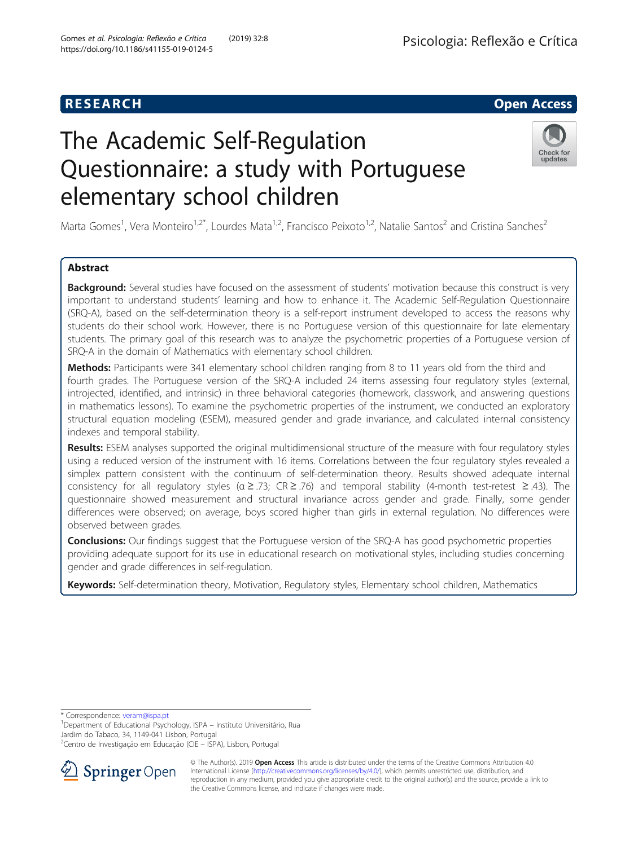# **RESEARCH CHE Open Access**

# The Academic Self-Regulation Questionnaire: a study with Portuguese elementary school children



Marta Gomes<sup>1</sup>, Vera Monteiro<sup>1,2\*</sup>, Lourdes Mata<sup>1,2</sup>, Francisco Peixoto<sup>1,2</sup>, Natalie Santos<sup>2</sup> and Cristina Sanches<sup>2</sup>

## Abstract

Background: Several studies have focused on the assessment of students' motivation because this construct is very important to understand students' learning and how to enhance it. The Academic Self-Regulation Questionnaire (SRQ-A), based on the self-determination theory is a self-report instrument developed to access the reasons why students do their school work. However, there is no Portuguese version of this questionnaire for late elementary students. The primary goal of this research was to analyze the psychometric properties of a Portuguese version of SRQ-A in the domain of Mathematics with elementary school children.

Methods: Participants were 341 elementary school children ranging from 8 to 11 years old from the third and fourth grades. The Portuguese version of the SRQ-A included 24 items assessing four regulatory styles (external, introjected, identified, and intrinsic) in three behavioral categories (homework, classwork, and answering questions in mathematics lessons). To examine the psychometric properties of the instrument, we conducted an exploratory structural equation modeling (ESEM), measured gender and grade invariance, and calculated internal consistency indexes and temporal stability.

Results: ESEM analyses supported the original multidimensional structure of the measure with four regulatory styles using a reduced version of the instrument with 16 items. Correlations between the four regulatory styles revealed a simplex pattern consistent with the continuum of self-determination theory. Results showed adequate internal consistency for all regulatory styles ( $\alpha \geq .73$ ; CR  $\geq .76$ ) and temporal stability (4-month test-retest  $\geq .43$ ). The questionnaire showed measurement and structural invariance across gender and grade. Finally, some gender differences were observed; on average, boys scored higher than girls in external regulation. No differences were observed between grades.

**Conclusions:** Our findings suggest that the Portuguese version of the SRQ-A has good psychometric properties providing adequate support for its use in educational research on motivational styles, including studies concerning gender and grade differences in self-regulation.

Keywords: Self-determination theory, Motivation, Regulatory styles, Elementary school children, Mathematics

\* Correspondence: [veram@ispa.pt](mailto:veram@ispa.pt) <sup>1</sup>

 $1$ Department of Educational Psychology, ISPA – Instituto Universitário, Rua Jardim do Tabaco, 34, 1149-041 Lisbon, Portugal

<sup>2</sup> Centro de Investigação em Educação (CIE – ISPA), Lisbon, Portugal



<sup>©</sup> The Author(s). 2019 Open Access This article is distributed under the terms of the Creative Commons Attribution 4.0 International License ([http://creativecommons.org/licenses/by/4.0/\)](http://creativecommons.org/licenses/by/4.0/), which permits unrestricted use, distribution, and reproduction in any medium, provided you give appropriate credit to the original author(s) and the source, provide a link to the Creative Commons license, and indicate if changes were made.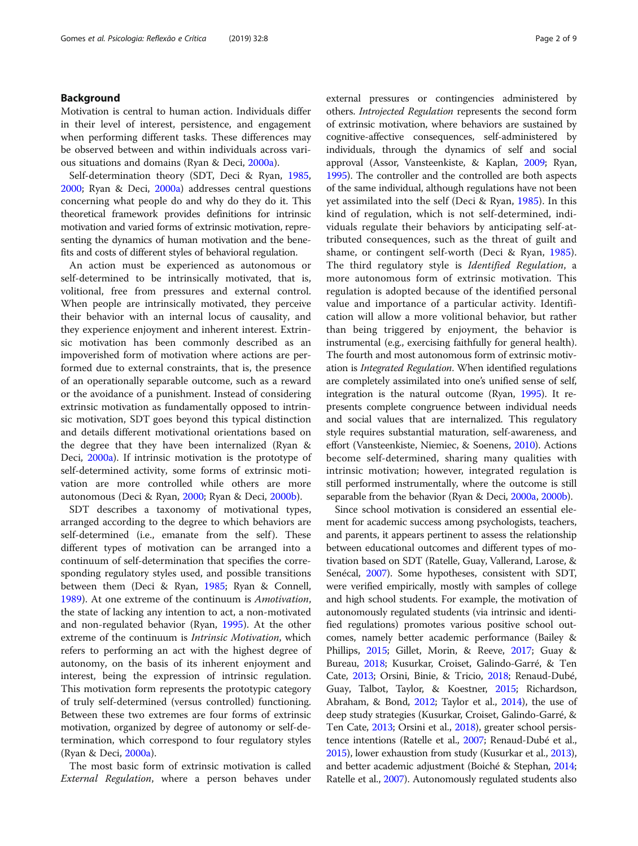#### Background

Motivation is central to human action. Individuals differ in their level of interest, persistence, and engagement when performing different tasks. These differences may be observed between and within individuals across various situations and domains (Ryan & Deci, [2000a\)](#page-8-0).

Self-determination theory (SDT, Deci & Ryan, [1985](#page-7-0), [2000](#page-7-0); Ryan & Deci, [2000a](#page-8-0)) addresses central questions concerning what people do and why do they do it. This theoretical framework provides definitions for intrinsic motivation and varied forms of extrinsic motivation, representing the dynamics of human motivation and the benefits and costs of different styles of behavioral regulation.

An action must be experienced as autonomous or self-determined to be intrinsically motivated, that is, volitional, free from pressures and external control. When people are intrinsically motivated, they perceive their behavior with an internal locus of causality, and they experience enjoyment and inherent interest. Extrinsic motivation has been commonly described as an impoverished form of motivation where actions are performed due to external constraints, that is, the presence of an operationally separable outcome, such as a reward or the avoidance of a punishment. Instead of considering extrinsic motivation as fundamentally opposed to intrinsic motivation, SDT goes beyond this typical distinction and details different motivational orientations based on the degree that they have been internalized (Ryan & Deci, [2000a\)](#page-8-0). If intrinsic motivation is the prototype of self-determined activity, some forms of extrinsic motivation are more controlled while others are more autonomous (Deci & Ryan, [2000](#page-7-0); Ryan & Deci, [2000b\)](#page-8-0).

SDT describes a taxonomy of motivational types, arranged according to the degree to which behaviors are self-determined (i.e., emanate from the self). These different types of motivation can be arranged into a continuum of self-determination that specifies the corresponding regulatory styles used, and possible transitions between them (Deci & Ryan, [1985](#page-7-0); Ryan & Connell, [1989](#page-8-0)). At one extreme of the continuum is Amotivation, the state of lacking any intention to act, a non-motivated and non-regulated behavior (Ryan, [1995](#page-7-0)). At the other extreme of the continuum is Intrinsic Motivation, which refers to performing an act with the highest degree of autonomy, on the basis of its inherent enjoyment and interest, being the expression of intrinsic regulation. This motivation form represents the prototypic category of truly self-determined (versus controlled) functioning. Between these two extremes are four forms of extrinsic motivation, organized by degree of autonomy or self-determination, which correspond to four regulatory styles (Ryan & Deci, [2000a\)](#page-8-0).

The most basic form of extrinsic motivation is called External Regulation, where a person behaves under external pressures or contingencies administered by others. Introjected Regulation represents the second form of extrinsic motivation, where behaviors are sustained by cognitive-affective consequences, self-administered by individuals, through the dynamics of self and social approval (Assor, Vansteenkiste, & Kaplan, [2009;](#page-7-0) Ryan, [1995](#page-7-0)). The controller and the controlled are both aspects of the same individual, although regulations have not been yet assimilated into the self (Deci & Ryan, [1985](#page-7-0)). In this kind of regulation, which is not self-determined, individuals regulate their behaviors by anticipating self-attributed consequences, such as the threat of guilt and shame, or contingent self-worth (Deci & Ryan, [1985](#page-7-0)). The third regulatory style is Identified Regulation, a more autonomous form of extrinsic motivation. This regulation is adopted because of the identified personal value and importance of a particular activity. Identification will allow a more volitional behavior, but rather than being triggered by enjoyment, the behavior is instrumental (e.g., exercising faithfully for general health). The fourth and most autonomous form of extrinsic motivation is Integrated Regulation. When identified regulations are completely assimilated into one's unified sense of self, integration is the natural outcome (Ryan, [1995](#page-7-0)). It represents complete congruence between individual needs and social values that are internalized. This regulatory style requires substantial maturation, self-awareness, and effort (Vansteenkiste, Niemiec, & Soenens, [2010](#page-8-0)). Actions become self-determined, sharing many qualities with intrinsic motivation; however, integrated regulation is still performed instrumentally, where the outcome is still separable from the behavior (Ryan & Deci, [2000a,](#page-8-0) [2000b\)](#page-8-0).

Since school motivation is considered an essential element for academic success among psychologists, teachers, and parents, it appears pertinent to assess the relationship between educational outcomes and different types of motivation based on SDT (Ratelle, Guay, Vallerand, Larose, & Senécal, [2007](#page-7-0)). Some hypotheses, consistent with SDT, were verified empirically, mostly with samples of college and high school students. For example, the motivation of autonomously regulated students (via intrinsic and identified regulations) promotes various positive school outcomes, namely better academic performance (Bailey & Phillips, [2015;](#page-7-0) Gillet, Morin, & Reeve, [2017;](#page-7-0) Guay & Bureau, [2018](#page-7-0); Kusurkar, Croiset, Galindo-Garré, & Ten Cate, [2013;](#page-7-0) Orsini, Binie, & Tricio, [2018;](#page-7-0) Renaud-Dubé, Guay, Talbot, Taylor, & Koestner, [2015;](#page-7-0) Richardson, Abraham, & Bond, [2012](#page-7-0); Taylor et al., [2014](#page-8-0)), the use of deep study strategies (Kusurkar, Croiset, Galindo-Garré, & Ten Cate, [2013;](#page-7-0) Orsini et al., [2018\)](#page-7-0), greater school persistence intentions (Ratelle et al., [2007;](#page-7-0) Renaud-Dubé et al., [2015\)](#page-7-0), lower exhaustion from study (Kusurkar et al., [2013](#page-7-0)), and better academic adjustment (Boiché & Stephan, [2014](#page-7-0); Ratelle et al., [2007](#page-7-0)). Autonomously regulated students also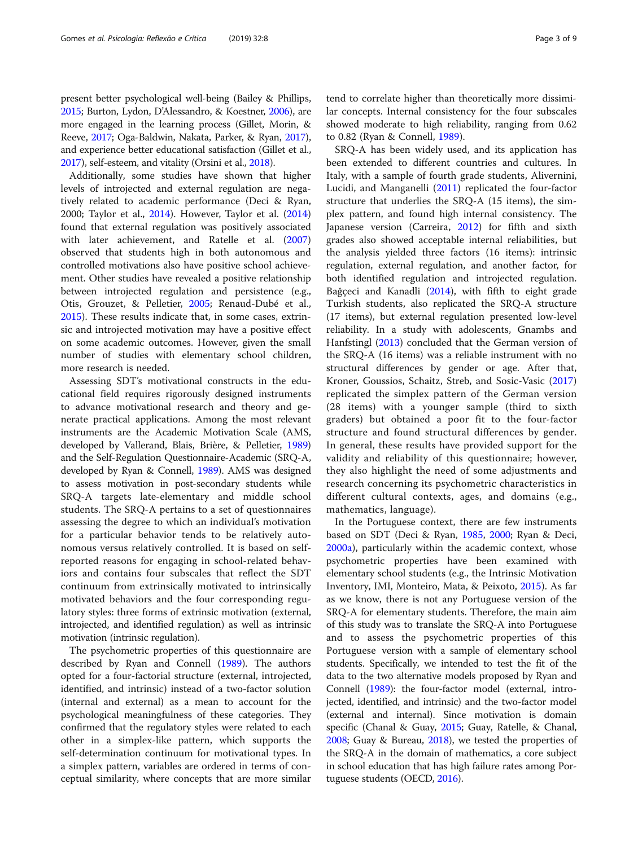present better psychological well-being (Bailey & Phillips, [2015;](#page-7-0) Burton, Lydon, D'Alessandro, & Koestner, [2006](#page-7-0)), are more engaged in the learning process (Gillet, Morin, & Reeve, [2017](#page-7-0); Oga-Baldwin, Nakata, Parker, & Ryan, [2017](#page-7-0)), and experience better educational satisfaction (Gillet et al., [2017\)](#page-7-0), self-esteem, and vitality (Orsini et al., [2018\)](#page-7-0).

Additionally, some studies have shown that higher levels of introjected and external regulation are negatively related to academic performance (Deci & Ryan, 2000; Taylor et al., [2014\)](#page-8-0). However, Taylor et al. ([2014](#page-8-0)) found that external regulation was positively associated with later achievement, and Ratelle et al. ([2007](#page-7-0)) observed that students high in both autonomous and controlled motivations also have positive school achievement. Other studies have revealed a positive relationship between introjected regulation and persistence (e.g., Otis, Grouzet, & Pelletier, [2005](#page-7-0); Renaud-Dubé et al., [2015](#page-7-0)). These results indicate that, in some cases, extrinsic and introjected motivation may have a positive effect on some academic outcomes. However, given the small number of studies with elementary school children, more research is needed.

Assessing SDT's motivational constructs in the educational field requires rigorously designed instruments to advance motivational research and theory and generate practical applications. Among the most relevant instruments are the Academic Motivation Scale (AMS, developed by Vallerand, Blais, Brière, & Pelletier, [1989](#page-8-0)) and the Self-Regulation Questionnaire-Academic (SRQ-A, developed by Ryan & Connell, [1989\)](#page-8-0). AMS was designed to assess motivation in post-secondary students while SRQ-A targets late-elementary and middle school students. The SRQ-A pertains to a set of questionnaires assessing the degree to which an individual's motivation for a particular behavior tends to be relatively autonomous versus relatively controlled. It is based on selfreported reasons for engaging in school-related behaviors and contains four subscales that reflect the SDT continuum from extrinsically motivated to intrinsically motivated behaviors and the four corresponding regulatory styles: three forms of extrinsic motivation (external, introjected, and identified regulation) as well as intrinsic motivation (intrinsic regulation).

The psychometric properties of this questionnaire are described by Ryan and Connell [\(1989\)](#page-8-0). The authors opted for a four-factorial structure (external, introjected, identified, and intrinsic) instead of a two-factor solution (internal and external) as a mean to account for the psychological meaningfulness of these categories. They confirmed that the regulatory styles were related to each other in a simplex-like pattern, which supports the self-determination continuum for motivational types. In a simplex pattern, variables are ordered in terms of conceptual similarity, where concepts that are more similar

tend to correlate higher than theoretically more dissimilar concepts. Internal consistency for the four subscales showed moderate to high reliability, ranging from 0.62 to 0.82 (Ryan & Connell, [1989\)](#page-8-0).

SRQ-A has been widely used, and its application has been extended to different countries and cultures. In Italy, with a sample of fourth grade students, Alivernini, Lucidi, and Manganelli ([2011](#page-6-0)) replicated the four-factor structure that underlies the SRQ-A (15 items), the simplex pattern, and found high internal consistency. The Japanese version (Carreira, [2012\)](#page-7-0) for fifth and sixth grades also showed acceptable internal reliabilities, but the analysis yielded three factors (16 items): intrinsic regulation, external regulation, and another factor, for both identified regulation and introjected regulation. Bağçeci and Kanadli [\(2014\)](#page-7-0), with fifth to eight grade Turkish students, also replicated the SRQ-A structure (17 items), but external regulation presented low-level reliability. In a study with adolescents, Gnambs and Hanfstingl ([2013](#page-7-0)) concluded that the German version of the SRQ-A (16 items) was a reliable instrument with no structural differences by gender or age. After that, Kroner, Goussios, Schaitz, Streb, and Sosic-Vasic ([2017](#page-7-0)) replicated the simplex pattern of the German version (28 items) with a younger sample (third to sixth graders) but obtained a poor fit to the four-factor structure and found structural differences by gender. In general, these results have provided support for the validity and reliability of this questionnaire; however, they also highlight the need of some adjustments and research concerning its psychometric characteristics in different cultural contexts, ages, and domains (e.g., mathematics, language).

In the Portuguese context, there are few instruments based on SDT (Deci & Ryan, [1985](#page-7-0), [2000;](#page-7-0) Ryan & Deci, [2000a\)](#page-8-0), particularly within the academic context, whose psychometric properties have been examined with elementary school students (e.g., the Intrinsic Motivation Inventory, IMI, Monteiro, Mata, & Peixoto, [2015\)](#page-7-0). As far as we know, there is not any Portuguese version of the SRQ-A for elementary students. Therefore, the main aim of this study was to translate the SRQ-A into Portuguese and to assess the psychometric properties of this Portuguese version with a sample of elementary school students. Specifically, we intended to test the fit of the data to the two alternative models proposed by Ryan and Connell [\(1989](#page-8-0)): the four-factor model (external, introjected, identified, and intrinsic) and the two-factor model (external and internal). Since motivation is domain specific (Chanal & Guay, [2015;](#page-7-0) Guay, Ratelle, & Chanal, [2008](#page-7-0); Guay & Bureau, [2018](#page-7-0)), we tested the properties of the SRQ-A in the domain of mathematics, a core subject in school education that has high failure rates among Portuguese students (OECD, [2016\)](#page-7-0).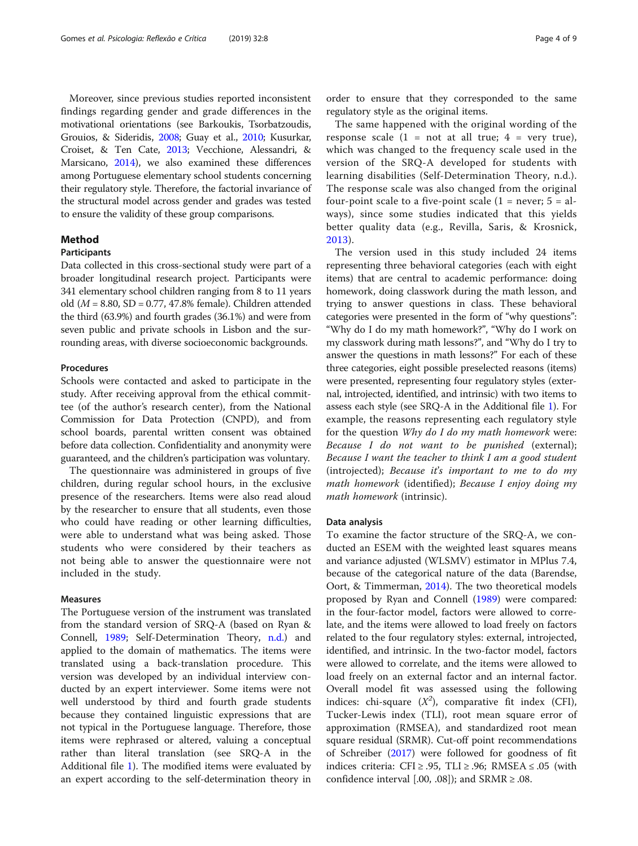Moreover, since previous studies reported inconsistent findings regarding gender and grade differences in the motivational orientations (see Barkoukis, Tsorbatzoudis, Grouios, & Sideridis, [2008](#page-7-0); Guay et al., [2010;](#page-7-0) Kusurkar, Croiset, & Ten Cate, [2013;](#page-7-0) Vecchione, Alessandri, & Marsicano, [2014](#page-8-0)), we also examined these differences among Portuguese elementary school students concerning their regulatory style. Therefore, the factorial invariance of the structural model across gender and grades was tested to ensure the validity of these group comparisons.

#### Method

#### Participants

Data collected in this cross-sectional study were part of a broader longitudinal research project. Participants were 341 elementary school children ranging from 8 to 11 years old ( $M = 8.80$ , SD = 0.77, 47.8% female). Children attended the third (63.9%) and fourth grades (36.1%) and were from seven public and private schools in Lisbon and the surrounding areas, with diverse socioeconomic backgrounds.

#### Procedures

Schools were contacted and asked to participate in the study. After receiving approval from the ethical committee (of the author's research center), from the National Commission for Data Protection (CNPD), and from school boards, parental written consent was obtained before data collection. Confidentiality and anonymity were guaranteed, and the children's participation was voluntary.

The questionnaire was administered in groups of five children, during regular school hours, in the exclusive presence of the researchers. Items were also read aloud by the researcher to ensure that all students, even those who could have reading or other learning difficulties, were able to understand what was being asked. Those students who were considered by their teachers as not being able to answer the questionnaire were not included in the study.

#### Measures

The Portuguese version of the instrument was translated from the standard version of SRQ-A (based on Ryan & Connell, [1989;](#page-8-0) Self-Determination Theory, [n.d.](#page-8-0)) and applied to the domain of mathematics. The items were translated using a back-translation procedure. This version was developed by an individual interview conducted by an expert interviewer. Some items were not well understood by third and fourth grade students because they contained linguistic expressions that are not typical in the Portuguese language. Therefore, those items were rephrased or altered, valuing a conceptual rather than literal translation (see SRQ-A in the Additional file [1\)](#page-6-0). The modified items were evaluated by an expert according to the self-determination theory in

order to ensure that they corresponded to the same regulatory style as the original items.

The same happened with the original wording of the response scale  $(1 = not at all true; 4 = very true)$ , which was changed to the frequency scale used in the version of the SRQ-A developed for students with learning disabilities (Self-Determination Theory, n.d.). The response scale was also changed from the original four-point scale to a five-point scale  $(1 = never; 5 = al$ ways), since some studies indicated that this yields better quality data (e.g., Revilla, Saris, & Krosnick, [2013](#page-7-0)).

The version used in this study included 24 items representing three behavioral categories (each with eight items) that are central to academic performance: doing homework, doing classwork during the math lesson, and trying to answer questions in class. These behavioral categories were presented in the form of "why questions": "Why do I do my math homework?", "Why do I work on my classwork during math lessons?", and "Why do I try to answer the questions in math lessons?" For each of these three categories, eight possible preselected reasons (items) were presented, representing four regulatory styles (external, introjected, identified, and intrinsic) with two items to assess each style (see SRQ-A in the Additional file [1\)](#page-6-0). For example, the reasons representing each regulatory style for the question Why do I do my math homework were: Because I do not want to be punished (external); Because I want the teacher to think I am a good student (introjected); Because it's important to me to do my math homework (identified); Because I enjoy doing my math homework (intrinsic).

#### Data analysis

To examine the factor structure of the SRQ-A, we conducted an ESEM with the weighted least squares means and variance adjusted (WLSMV) estimator in MPlus 7.4, because of the categorical nature of the data (Barendse, Oort, & Timmerman, [2014\)](#page-7-0). The two theoretical models proposed by Ryan and Connell ([1989](#page-8-0)) were compared: in the four-factor model, factors were allowed to correlate, and the items were allowed to load freely on factors related to the four regulatory styles: external, introjected, identified, and intrinsic. In the two-factor model, factors were allowed to correlate, and the items were allowed to load freely on an external factor and an internal factor. Overall model fit was assessed using the following indices: chi-square  $(X^2)$ , comparative fit index (CFI), Tucker-Lewis index (TLI), root mean square error of approximation (RMSEA), and standardized root mean square residual (SRMR). Cut-off point recommendations of Schreiber ([2017\)](#page-8-0) were followed for goodness of fit indices criteria: CFI ≥ .95, TLI ≥ .96; RMSEA  $\leq$  .05 (with confidence interval [.00, .08]); and  $SRMR \geq .08$ .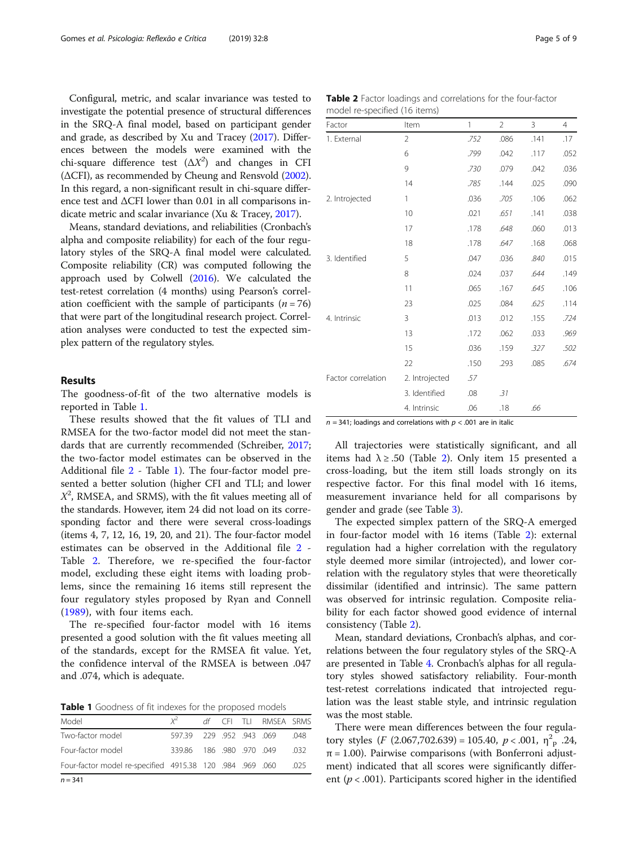Configural, metric, and scalar invariance was tested to investigate the potential presence of structural differences in the SRQ-A final model, based on participant gender and grade, as described by Xu and Tracey [\(2017\)](#page-8-0). Differences between the models were examined with the chi-square difference test  $(\Delta X^2)$  and changes in CFI (ΔCFI), as recommended by Cheung and Rensvold [\(2002](#page-7-0)). In this regard, a non-significant result in chi-square difference test and ΔCFI lower than 0.01 in all comparisons indicate metric and scalar invariance (Xu & Tracey, [2017](#page-8-0)).

Means, standard deviations, and reliabilities (Cronbach's alpha and composite reliability) for each of the four regulatory styles of the SRQ-A final model were calculated. Composite reliability (CR) was computed following the approach used by Colwell [\(2016](#page-7-0)). We calculated the test-retest correlation (4 months) using Pearson's correlation coefficient with the sample of participants ( $n = 76$ ) that were part of the longitudinal research project. Correlation analyses were conducted to test the expected simplex pattern of the regulatory styles.

#### Results

The goodness-of-fit of the two alternative models is reported in Table 1.

These results showed that the fit values of TLI and RMSEA for the two-factor model did not meet the standards that are currently recommended (Schreiber, [2017](#page-8-0); the two-factor model estimates can be observed in the Additional file [2](#page-6-0) - Table 1). The four-factor model presented a better solution (higher CFI and TLI; and lower  $X^2$ , RMSEA, and SRMS), with the fit values meeting all of the standards. However, item 24 did not load on its corresponding factor and there were several cross-loadings (items 4, 7, 12, 16, 19, 20, and 21). The four-factor model estimates can be observed in the Additional file [2](#page-6-0) - Table 2. Therefore, we re-specified the four-factor model, excluding these eight items with loading problems, since the remaining 16 items still represent the four regulatory styles proposed by Ryan and Connell ([1989\)](#page-8-0), with four items each.

The re-specified four-factor model with 16 items presented a good solution with the fit values meeting all of the standards, except for the RMSEA fit value. Yet, the confidence interval of the RMSEA is between .047 and .074, which is adequate.

Table 1 Goodness of fit indexes for the proposed models

| $n = 341$                                                 |                        |  |                       |         |
|-----------------------------------------------------------|------------------------|--|-----------------------|---------|
| Four-factor model re-specified 4915.38 120 .984 .969 .060 |                        |  |                       | .025    |
| Four-factor model                                         | 339.86 186 980 970 049 |  |                       | .032    |
| Two-factor model                                          | 597.39 229 952 943 069 |  |                       | . . 048 |
| Model                                                     | $x^2$                  |  | df CFI TLI RMSEA SRMS |         |

| <b>Table 2</b> Factor loadings and correlations for the four-factor |  |  |
|---------------------------------------------------------------------|--|--|
| model re-specified (16 items)                                       |  |  |

| Factor             | Item           | 1    | $\overline{2}$ | 3    | $\overline{4}$ |
|--------------------|----------------|------|----------------|------|----------------|
| 1. External        | $\overline{2}$ | .752 | .086           | .141 | .17            |
|                    | 6              | .799 | .042           | .117 | .052           |
|                    | 9              | .730 | .079           | .042 | .036           |
|                    | 14             | .785 | .144           | .025 | .090           |
| 2. Introjected     | 1              | .036 | .705           | .106 | .062           |
|                    | 10             | .021 | .651           | .141 | .038           |
|                    | 17             | .178 | .648           | .060 | .013           |
|                    | 18             | .178 | .647           | .168 | .068           |
| 3. Identified      | 5              | .047 | .036           | .840 | .015           |
|                    | 8              | .024 | .037           | .644 | .149           |
|                    | 11             | .065 | .167           | .645 | .106           |
|                    | 23             | .025 | .084           | .625 | .114           |
| 4. Intrinsic       | 3              | .013 | .012           | .155 | .724           |
|                    | 13             | .172 | .062           | .033 | .969           |
|                    | 15             | .036 | .159           | .327 | .502           |
|                    | 22             | .150 | .293           | .085 | .674           |
| Factor correlation | 2. Introjected | .57  |                |      |                |
|                    | 3. Identified  | .08  | .31            |      |                |
|                    | 4. Intrinsic   | .06  | .18            | .66  |                |

 $n = 341$ ; loadings and correlations with  $p < .001$  are in italic

All trajectories were statistically significant, and all items had  $\lambda \geq .50$  (Table 2). Only item 15 presented a cross-loading, but the item still loads strongly on its respective factor. For this final model with 16 items, measurement invariance held for all comparisons by gender and grade (see Table [3\)](#page-5-0).

The expected simplex pattern of the SRQ-A emerged in four-factor model with 16 items (Table 2): external regulation had a higher correlation with the regulatory style deemed more similar (introjected), and lower correlation with the regulatory styles that were theoretically dissimilar (identified and intrinsic). The same pattern was observed for intrinsic regulation. Composite reliability for each factor showed good evidence of internal consistency (Table 2).

Mean, standard deviations, Cronbach's alphas, and correlations between the four regulatory styles of the SRQ-A are presented in Table [4.](#page-5-0) Cronbach's alphas for all regulatory styles showed satisfactory reliability. Four-month test-retest correlations indicated that introjected regulation was the least stable style, and intrinsic regulation was the most stable.

There were mean differences between the four regulatory styles  $(F (2.067, 702.639) = 105.40, p < .001, \eta_{p}^{2}$ .24,  $\pi$  = 1.00). Pairwise comparisons (with Bonferroni adjustment) indicated that all scores were significantly different ( $p < .001$ ). Participants scored higher in the identified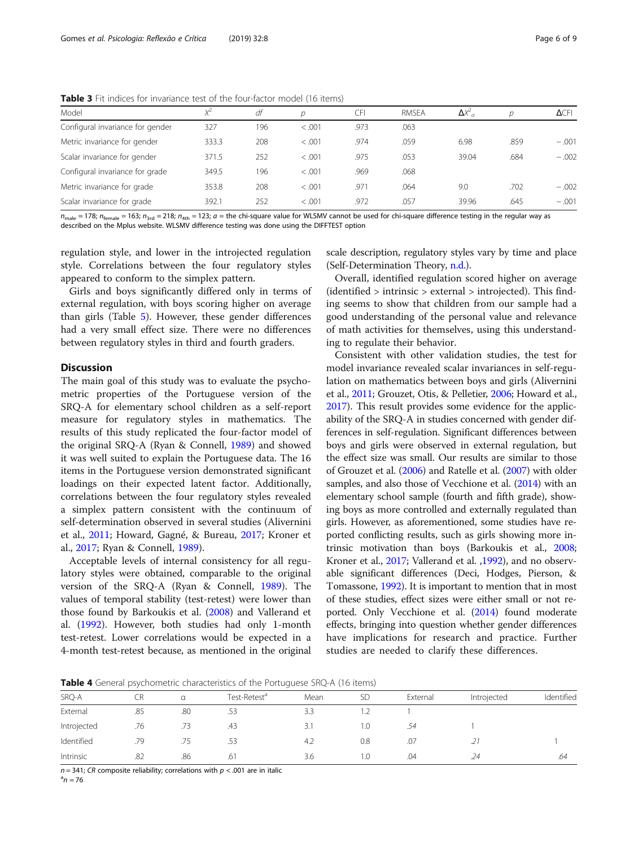<span id="page-5-0"></span>Table 3 Fit indices for invariance test of the four-factor model (16 items)

| Model                            | $X^2$ | df  | n      | CFI  | <b>RMSEA</b> | $\Delta X^2$ |      | $\Delta$ CFI |
|----------------------------------|-------|-----|--------|------|--------------|--------------|------|--------------|
| Configural invariance for gender | 327   | 196 | < .001 | .973 | .063         |              |      |              |
| Metric invariance for gender     | 333.3 | 208 | < .001 | .974 | .059         | 6.98         | .859 | $-.001$      |
| Scalar invariance for gender     | 371.5 | 252 | < .001 | .975 | .053         | 39.04        | .684 | $-.002$      |
| Configural invariance for grade  | 349.5 | 196 | < .001 | .969 | .068         |              |      |              |
| Metric invariance for grade      | 353.8 | 208 | < .001 | .971 | .064         | 9.0          | .702 | $-.002$      |
| Scalar invariance for grade      | 392.1 | 252 | < .001 | .972 | .057         | 39.96        | .645 | $-.001$      |
|                                  |       |     |        |      |              |              |      |              |

 $n_{\text{male}} = 178$ ;  $n_{\text{female}} = 163$ ;  $n_{\text{3rd}} = 218$ ;  $n_{\text{4th}} = 123$ ;  $a =$  the chi-square value for WLSMV cannot be used for chi-square difference testing in the regular way as described on the Mplus website. WLSMV difference testing was done using the DIFFTEST option

regulation style, and lower in the introjected regulation style. Correlations between the four regulatory styles appeared to conform to the simplex pattern.

Girls and boys significantly differed only in terms of external regulation, with boys scoring higher on average than girls (Table [5](#page-6-0)). However, these gender differences had a very small effect size. There were no differences between regulatory styles in third and fourth graders.

#### **Discussion**

The main goal of this study was to evaluate the psychometric properties of the Portuguese version of the SRQ-A for elementary school children as a self-report measure for regulatory styles in mathematics. The results of this study replicated the four-factor model of the original SRQ-A (Ryan & Connell, [1989\)](#page-8-0) and showed it was well suited to explain the Portuguese data. The 16 items in the Portuguese version demonstrated significant loadings on their expected latent factor. Additionally, correlations between the four regulatory styles revealed a simplex pattern consistent with the continuum of self-determination observed in several studies (Alivernini et al., [2011;](#page-6-0) Howard, Gagné, & Bureau, [2017;](#page-7-0) Kroner et al., [2017;](#page-7-0) Ryan & Connell, [1989\)](#page-8-0).

Acceptable levels of internal consistency for all regulatory styles were obtained, comparable to the original version of the SRQ-A (Ryan & Connell, [1989\)](#page-8-0). The values of temporal stability (test-retest) were lower than those found by Barkoukis et al. ([2008\)](#page-7-0) and Vallerand et al. [\(1992\)](#page-8-0). However, both studies had only 1-month test-retest. Lower correlations would be expected in a 4-month test-retest because, as mentioned in the original scale description, regulatory styles vary by time and place (Self-Determination Theory, [n.d.\)](#page-8-0).

Overall, identified regulation scored higher on average (identified > intrinsic > external > introjected). This finding seems to show that children from our sample had a good understanding of the personal value and relevance of math activities for themselves, using this understanding to regulate their behavior.

Consistent with other validation studies, the test for model invariance revealed scalar invariances in self-regulation on mathematics between boys and girls (Alivernini et al., [2011;](#page-6-0) Grouzet, Otis, & Pelletier, [2006;](#page-7-0) Howard et al., [2017\)](#page-7-0). This result provides some evidence for the applicability of the SRQ-A in studies concerned with gender differences in self-regulation. Significant differences between boys and girls were observed in external regulation, but the effect size was small. Our results are similar to those of Grouzet et al. [\(2006\)](#page-7-0) and Ratelle et al. ([2007\)](#page-7-0) with older samples, and also those of Vecchione et al. [\(2014](#page-8-0)) with an elementary school sample (fourth and fifth grade), showing boys as more controlled and externally regulated than girls. However, as aforementioned, some studies have reported conflicting results, such as girls showing more intrinsic motivation than boys (Barkoukis et al., [2008](#page-7-0); Kroner et al., [2017;](#page-7-0) Vallerand et al. [,1992](#page-8-0)), and no observable significant differences (Deci, Hodges, Pierson, & Tomassone, [1992\)](#page-7-0). It is important to mention that in most of these studies, effect sizes were either small or not reported. Only Vecchione et al. [\(2014](#page-8-0)) found moderate effects, bringing into question whether gender differences have implications for research and practice. Further studies are needed to clarify these differences.

Table 4 General psychometric characteristics of the Portuguese SRQ-A (16 items)

|             | <b>Example 1</b> Scribter polyeriorities characteristics of the Fortagacse ship <i>P</i> (10 Remis) |     |                          |      |           |          |             |            |  |  |  |
|-------------|-----------------------------------------------------------------------------------------------------|-----|--------------------------|------|-----------|----------|-------------|------------|--|--|--|
| SRQ-A       |                                                                                                     |     | Test-Retest <sup>a</sup> | Mean | <b>SD</b> | External | Introjected | Identified |  |  |  |
| External    | .85                                                                                                 | .80 |                          | 3.3  |           |          |             |            |  |  |  |
| Introjected | .76                                                                                                 | .73 | .43                      | 3.1  | 1.0       |          |             |            |  |  |  |
| Identified  | .79                                                                                                 | .75 | .53                      | 4.2  | 0.8       |          | .21         |            |  |  |  |
| Intrinsic   | .82                                                                                                 | .86 | .61                      | 3.6  | 1.0       | .04      | .24         | .64        |  |  |  |

 $n = 341$ ; CR composite reliability; correlations with  $p < .001$  are in italic

 $n = 76$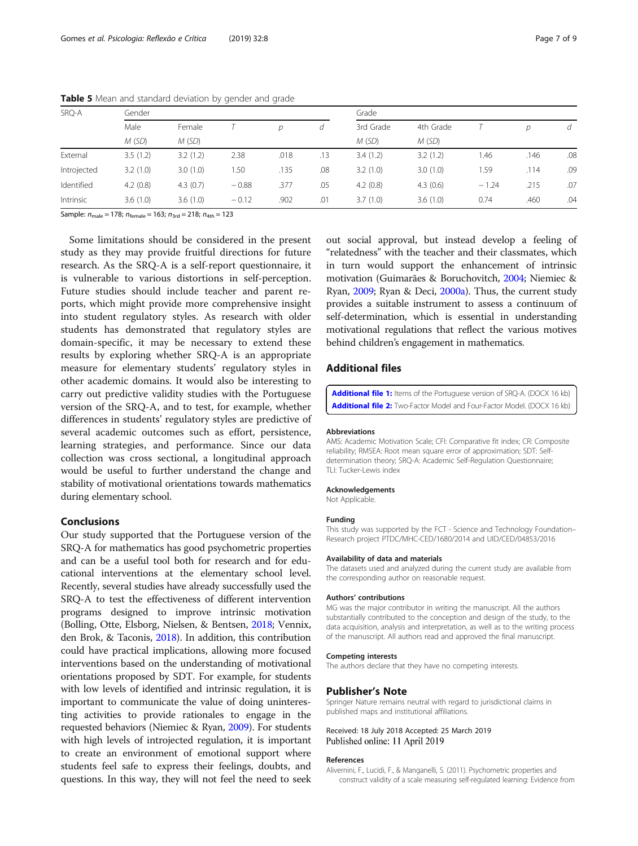| SRQ-A       | Gender   |          |         |      |     | Grade     |           |         |      |     |  |
|-------------|----------|----------|---------|------|-----|-----------|-----------|---------|------|-----|--|
|             | Male     | Female   |         | D    | d   | 3rd Grade | 4th Grade |         | D    | d   |  |
|             | M(SD)    | M(SD)    |         |      |     | M(SD)     | M(SD)     |         |      |     |  |
| External    | 3.5(1.2) | 3.2(1.2) | 2.38    | .018 | .13 | 3.4(1.2)  | 3.2(1.2)  | l.46    | .146 | .08 |  |
| Introjected | 3.2(1.0) | 3.0(1.0) | .50     | .135 | .08 | 3.2(1.0)  | 3.0(1.0)  | 1.59    | .114 | .09 |  |
| Identified  | 4.2(0.8) | 4.3(0.7) | $-0.88$ | .377 | .05 | 4.2(0.8)  | 4.3(0.6)  | $-1.24$ | .215 | .07 |  |
| Intrinsic   | 3.6(1.0) | 3.6(1.0) | $-0.12$ | .902 | .01 | 3.7(1.0)  | 3.6(1.0)  | 0.74    | .460 | .04 |  |

<span id="page-6-0"></span>Table 5 Mean and standard deviation by gender and grade

Sample:  $n_{\text{male}} = 178$ ;  $n_{\text{female}} = 163$ ;  $n_{\text{3rd}} = 218$ ;  $n_{\text{4th}} = 123$ 

Some limitations should be considered in the present study as they may provide fruitful directions for future research. As the SRQ-A is a self-report questionnaire, it is vulnerable to various distortions in self-perception. Future studies should include teacher and parent reports, which might provide more comprehensive insight into student regulatory styles. As research with older students has demonstrated that regulatory styles are domain-specific, it may be necessary to extend these results by exploring whether SRQ-A is an appropriate measure for elementary students' regulatory styles in other academic domains. It would also be interesting to carry out predictive validity studies with the Portuguese version of the SRQ-A, and to test, for example, whether differences in students' regulatory styles are predictive of several academic outcomes such as effort, persistence, learning strategies, and performance. Since our data collection was cross sectional, a longitudinal approach would be useful to further understand the change and stability of motivational orientations towards mathematics during elementary school.

#### Conclusions

Our study supported that the Portuguese version of the SRQ-A for mathematics has good psychometric properties and can be a useful tool both for research and for educational interventions at the elementary school level. Recently, several studies have already successfully used the SRQ-A to test the effectiveness of different intervention programs designed to improve intrinsic motivation (Bolling, Otte, Elsborg, Nielsen, & Bentsen, [2018](#page-7-0); Vennix, den Brok, & Taconis, [2018\)](#page-8-0). In addition, this contribution could have practical implications, allowing more focused interventions based on the understanding of motivational orientations proposed by SDT. For example, for students with low levels of identified and intrinsic regulation, it is important to communicate the value of doing uninteresting activities to provide rationales to engage in the requested behaviors (Niemiec & Ryan, [2009](#page-7-0)). For students with high levels of introjected regulation, it is important to create an environment of emotional support where students feel safe to express their feelings, doubts, and questions. In this way, they will not feel the need to seek out social approval, but instead develop a feeling of "relatedness" with the teacher and their classmates, which in turn would support the enhancement of intrinsic motivation (Guimarães & Boruchovitch, [2004](#page-7-0); Niemiec & Ryan, [2009;](#page-7-0) Ryan & Deci, [2000a](#page-8-0)). Thus, the current study provides a suitable instrument to assess a continuum of self-determination, which is essential in understanding motivational regulations that reflect the various motives behind children's engagement in mathematics.

### Additional files

[Additional file 1:](https://doi.org/10.1186/s41155-019-0124-5) Items of the Portuguese version of SRQ-A. (DOCX 16 kb) [Additional file 2:](https://doi.org/10.1186/s41155-019-0124-5) Two-Factor Model and Four-Factor Model. (DOCX 16 kb)

#### Abbreviations

AMS: Academic Motivation Scale; CFI: Comparative fit index; CR: Composite reliability; RMSEA: Root mean square error of approximation; SDT: Selfdetermination theory; SRQ-A: Academic Self-Regulation Questionnaire; TLI: Tucker-Lewis index

#### Acknowledgements

Not Applicable.

#### Funding

This study was supported by the FCT - Science and Technology Foundation– Research project PTDC/MHC-CED/1680/2014 and UID/CED/04853/2016

#### Availability of data and materials

The datasets used and analyzed during the current study are available from the corresponding author on reasonable request.

#### Authors' contributions

MG was the major contributor in writing the manuscript. All the authors substantially contributed to the conception and design of the study, to the data acquisition, analysis and interpretation, as well as to the writing process of the manuscript. All authors read and approved the final manuscript.

#### Competing interests

The authors declare that they have no competing interests.

#### Publisher's Note

Springer Nature remains neutral with regard to jurisdictional claims in published maps and institutional affiliations.

#### Received: 18 July 2018 Accepted: 25 March 2019 Published online: 11 April 2019

#### References

Alivernini, F., Lucidi, F., & Manganelli, S. (2011). Psychometric properties and construct validity of a scale measuring self-regulated learning: Evidence from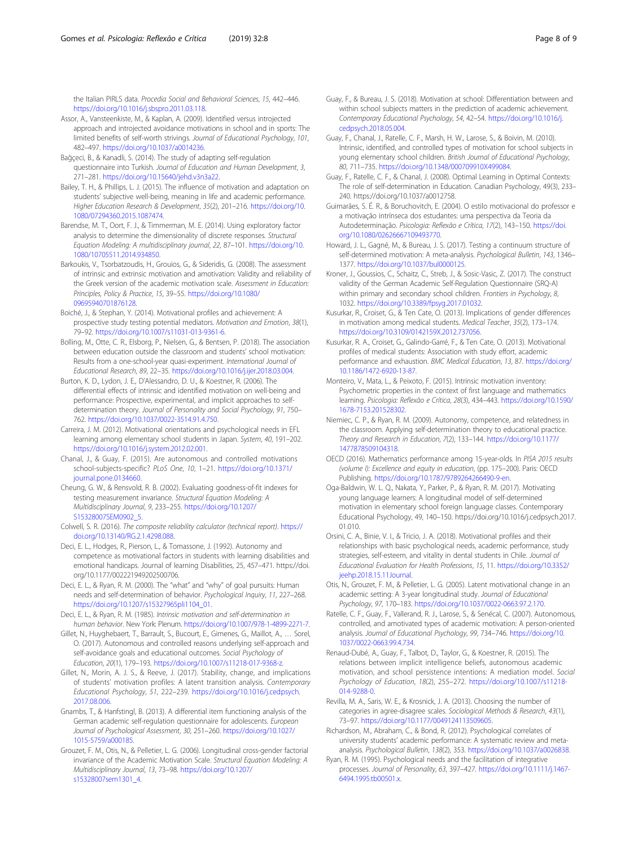<span id="page-7-0"></span>the Italian PIRLS data. Procedia Social and Behavioral Sciences, 15, 442–446. [https://doi.org/10.1016/j.sbspro.2011.03.118.](https://doi.org/10.1016/j.sbspro.2011.03.118)

- Assor, A., Vansteenkiste, M., & Kaplan, A. (2009). Identified versus introjected approach and introjected avoidance motivations in school and in sports: The limited benefits of self-worth strivings. Journal of Educational Psychology, 101, 482–497. <https://doi.org/10.1037/a0014236>.
- Bağçeci, B., & Kanadli, S. (2014). The study of adapting self-regulation questionnaire into Turkish. Journal of Education and Human Development, 3, 271–281. <https://doi.org/10.15640/jehd.v3n3a22>.
- Bailey, T. H., & Phillips, L. J. (2015). The influence of motivation and adaptation on students' subjective well-being, meaning in life and academic performance. Higher Education Research & Development, 35(2), 201–216. [https://doi.org/10.](https://doi.org/10.1080/07294360.2015.1087474) [1080/07294360.2015.1087474.](https://doi.org/10.1080/07294360.2015.1087474)
- Barendse, M. T., Oort, F. J., & Timmerman, M. E. (2014). Using exploratory factor analysis to determine the dimensionality of discrete responses. Structural Equation Modeling: A multidisciplinary journal, 22, 87–101. [https://doi.org/10.](https://doi.org/10.1080/10705511.2014.934850) [1080/10705511.2014.934850.](https://doi.org/10.1080/10705511.2014.934850)
- Barkoukis, V., Tsorbatzoudis, H., Grouios, G., & Sideridis, G. (2008). The assessment of intrinsic and extrinsic motivation and amotivation: Validity and reliability of the Greek version of the academic motivation scale. Assessment in Education: Principles, Policy & Practice, 15, 39–55. [https://doi.org/10.1080/](https://doi.org/10.1080/09695940701876128) [09695940701876128.](https://doi.org/10.1080/09695940701876128)
- Boiché, J., & Stephan, Y. (2014). Motivational profiles and achievement: A prospective study testing potential mediators. Motivation and Emotion, 38(1), 79–92. [https://doi.org/10.1007/s11031-013-9361-6.](https://doi.org/10.1007/s11031-013-9361-6)
- Bolling, M., Otte, C. R., Elsborg, P., Nielsen, G., & Bentsen, P. (2018). The association between education outside the classroom and students' school motivation: Results from a one-school-year quasi-experiment. International Journal of Educational Research, 89, 22–35. <https://doi.org/10.1016/j.ijer.2018.03.004>.
- Burton, K. D., Lydon, J. E., D'Alessandro, D. U., & Koestner, R. (2006). The differential effects of intrinsic and identified motivation on well-being and performance: Prospective, experimental, and implicit approaches to selfdetermination theory. Journal of Personality and Social Psychology, 91, 750– 762. [https://doi.org/10.1037/0022-3514.91.4.750.](https://doi.org/10.1037/0022-3514.91.4.750)
- Carreira, J. M. (2012). Motivational orientations and psychological needs in EFL learning among elementary school students in Japan. System, 40, 191–202. [https://doi.org/10.1016/j.system.2012.02.001.](https://doi.org/10.1016/j.system.2012.02.001)
- Chanal, J., & Guay, F. (2015). Are autonomous and controlled motivations school-subjects-specific? PLoS One, 10, 1–21. [https://doi.org/10.1371/](https://doi.org/10.1371/journal.pone.0134660) [journal.pone.0134660](https://doi.org/10.1371/journal.pone.0134660).
- Cheung, G. W., & Rensvold, R. B. (2002). Evaluating goodness-of-fit indexes for testing measurement invariance. Structural Equation Modeling: A Multidisciplinary Journal, 9, 233–255. [https://doi.org/10.1207/](https://doi.org/10.1207/S15328007SEM0902_5) [S15328007SEM0902\\_5.](https://doi.org/10.1207/S15328007SEM0902_5)
- Colwell, S. R. (2016). The composite reliability calculator (technical report). [https://](https://doi.org/10.13140/RG.2.1.4298.088) [doi.org/10.13140/RG.2.1.4298.088](https://doi.org/10.13140/RG.2.1.4298.088).
- Deci, E. L., Hodges, R., Pierson, L., & Tomassone, J. (1992). Autonomy and competence as motivational factors in students with learning disabilities and emotional handicaps. Journal of learning Disabilities, 25, 457–471. https://doi. org/10.1177/002221949202500706.
- Deci, E. L., & Ryan, R. M. (2000). The "what" and "why" of goal pursuits: Human needs and self-determination of behavior. Psychological Inquiry, 11, 227–268. [https://doi.org/10.1207/s15327965pli1104\\_01.](https://doi.org/10.1207/s15327965pli1104_01)
- Deci, E. L., & Ryan, R. M. (1985). Intrinsic motivation and self-determination in human behavior. New York: Plenum. <https://doi.org/10.1007/978-1-4899-2271-7>.
- Gillet, N., Huyghebaert, T., Barrault, S., Bucourt, E., Gimenes, G., Maillot, A., … Sorel, O. (2017). Autonomous and controlled reasons underlying self-approach and self-avoidance goals and educational outcomes. Social Psychology of Education, 20(1), 179–193. <https://doi.org/10.1007/s11218-017-9368-z>.
- Gillet, N., Morin, A. J. S., & Reeve, J. (2017). Stability, change, and implications of students' motivation profiles: A latent transition analysis. Contemporary Educational Psychology, 51, 222–239. [https://doi.org/10.1016/j.cedpsych.](https://doi.org/10.1016/j.cedpsych.2017.08.006) [2017.08.006.](https://doi.org/10.1016/j.cedpsych.2017.08.006)
- Gnambs, T., & Hanfstingl, B. (2013). A differential item functioning analysis of the German academic self-regulation questionnaire for adolescents. European Journal of Psychological Assessment, 30, 251–260. [https://doi.org/10.1027/](https://doi.org/10.1027/1015-5759/a000185) [1015-5759/a000185](https://doi.org/10.1027/1015-5759/a000185).
- Grouzet, F. M., Otis, N., & Pelletier, L. G. (2006). Longitudinal cross-gender factorial invariance of the Academic Motivation Scale. Structural Equation Modeling: A Multidisciplinary Journal, 13, 73–98. [https://doi.org/10.1207/](https://doi.org/10.1207/s15328007sem1301_4) [s15328007sem1301\\_4](https://doi.org/10.1207/s15328007sem1301_4).
- Guay, F., & Bureau, J. S. (2018). Motivation at school: Differentiation between and within school subjects matters in the prediction of academic achievement. Contemporary Educational Psychology, 54, 42–54. [https://doi.org/10.1016/j.](https://doi.org/10.1016/j.cedpsych.2018.05.004) [cedpsych.2018.05.004.](https://doi.org/10.1016/j.cedpsych.2018.05.004)
- Guay, F., Chanal, J., Ratelle, C. F., Marsh, H. W., Larose, S., & Boivin, M. (2010). Intrinsic, identified, and controlled types of motivation for school subjects in young elementary school children. British Journal of Educational Psychology, 80, 711–735. <https://doi.org/10.1348/000709910X499084>.
- Guay, F., Ratelle, C. F., & Chanal, J. (2008). Optimal Learning in Optimal Contexts: The role of self-determination in Education. Canadian Psychology, 49(3), 233– 240. https://doi.org/10.1037/a0012758.
- Guimarães, S. É. R., & Boruchovitch, E. (2004). O estilo motivacional do professor e a motivação intrínseca dos estudantes: uma perspectiva da Teoria da Autodeterminação. Psicologia: Reflexão e Crítica, 17(2), 143–150. [https://doi.](https://doi.org/10.1080/02626667109493770) [org/10.1080/02626667109493770](https://doi.org/10.1080/02626667109493770).
- Howard, J. L., Gagné, M., & Bureau, J. S. (2017). Testing a continuum structure of self-determined motivation: A meta-analysis. Psychological Bulletin, 143, 1346-1377. [https://doi.org/10.1037/bul0000125.](https://doi.org/10.1037/bul0000125)
- Kroner, J., Goussios, C., Schaitz, C., Streb, J., & Sosic-Vasic, Z. (2017). The construct validity of the German Academic Self-Regulation Questionnaire (SRQ-A) within primary and secondary school children. Frontiers in Psychology, 8, 1032. <https://doi.org/10.3389/fpsyg.2017.01032>.
- Kusurkar, R., Croiset, G., & Ten Cate, O. (2013). Implications of gender differences in motivation among medical students. Medical Teacher, 35(2), 173–174. <https://doi.org/10.3109/0142159X.2012.737056>.
- Kusurkar, R. A., Croiset, G., Galindo-Garré, F., & Ten Cate, O. (2013). Motivational profiles of medical students: Association with study effort, academic performance and exhaustion. BMC Medical Education, 13, 87. [https://doi.org/](https://doi.org/10.1186/1472-6920-13-87) [10.1186/1472-6920-13-87](https://doi.org/10.1186/1472-6920-13-87).
- Monteiro, V., Mata, L., & Peixoto, F. (2015). Intrinsic motivation inventory: Psychometric properties in the context of first language and mathematics learning. Psicologia: Reflexão e Crítica, 28(3), 434–443. [https://doi.org/10.1590/](https://doi.org/10.1590/1678-7153.201528302) [1678-7153.201528302](https://doi.org/10.1590/1678-7153.201528302).
- Niemiec, C. P., & Ryan, R. M. (2009). Autonomy, competence, and relatedness in the classroom. Applying self-determination theory to educational practice. Theory and Research in Education, 7(2), 133–144. [https://doi.org/10.1177/](https://doi.org/10.1177/1477878509104318) [1477878509104318](https://doi.org/10.1177/1477878509104318).
- OECD (2016). Mathematics performance among 15-year-olds. In PISA 2015 results (volume I): Excellence and equity in education, (pp. 175–200). Paris: OECD Publishing. [https://doi.org/10.1787/9789264266490-9-en.](https://doi.org/10.1787/9789264266490-9-en)
- Oga-Baldwin, W. L. Q., Nakata, Y., Parker, P., & Ryan, R. M. (2017). Motivating young language learners: A longitudinal model of self-determined motivation in elementary school foreign language classes. Contemporary Educational Psychology, 49, 140–150. https://doi.org/10.1016/j.cedpsych.2017. 01.010.
- Orsini, C. A., Binie, V. I., & Tricio, J. A. (2018). Motivational profiles and their relationships with basic psychological needs, academic performance, study strategies, self-esteem, and vitality in dental students in Chile. Journal of Educational Evaluation for Health Professions, 15, 11. [https://doi.org/10.3352/](https://doi.org/10.3352/jeehp.2018.15.11Journal) [jeehp.2018.15.11Journal](https://doi.org/10.3352/jeehp.2018.15.11Journal).
- Otis, N., Grouzet, F. M., & Pelletier, L. G. (2005). Latent motivational change in an academic setting: A 3-year longitudinal study. Journal of Educational Psychology, 97, 170–183. [https://doi.org/10.1037/0022-0663.97.2.170.](https://doi.org/10.1037/0022-0663.97.2.170)
- Ratelle, C. F., Guay, F., Vallerand, R. J., Larose, S., & Senécal, C. (2007). Autonomous, controlled, and amotivated types of academic motivation: A person-oriented analysis. Journal of Educational Psychology, 99, 734–746. [https://doi.org/10.](https://doi.org/10.1037/0022-0663.99.4.734) [1037/0022-0663.99.4.734](https://doi.org/10.1037/0022-0663.99.4.734).
- Renaud-Dubé, A., Guay, F., Talbot, D., Taylor, G., & Koestner, R. (2015). The relations between implicit intelligence beliefs, autonomous academic motivation, and school persistence intentions: A mediation model. Social Psychology of Education, 18(2), 255–272. [https://doi.org/10.1007/s11218-](https://doi.org/10.1007/s11218-014-9288-0) [014-9288-0](https://doi.org/10.1007/s11218-014-9288-0).
- Revilla, M. A., Saris, W. E., & Krosnick, J. A. (2013). Choosing the number of categories in agree-disagree scales. Sociological Methods & Research, 43(1), 73–97. <https://doi.org/10.1177/0049124113509605>.
- Richardson, M., Abraham, C., & Bond, R. (2012). Psychological correlates of university students' academic performance: A systematic review and metaanalysis. Psychological Bulletin, 138(2), 353. <https://doi.org/10.1037/a0026838>.
- Ryan, R. M. (1995). Psychological needs and the facilitation of integrative processes. Journal of Personality, 63, 397–427. [https://doi.org/10.1111/j.1467-](https://doi.org/10.1111/j.1467-6494.1995.tb00501.x) [6494.1995.tb00501.x.](https://doi.org/10.1111/j.1467-6494.1995.tb00501.x)